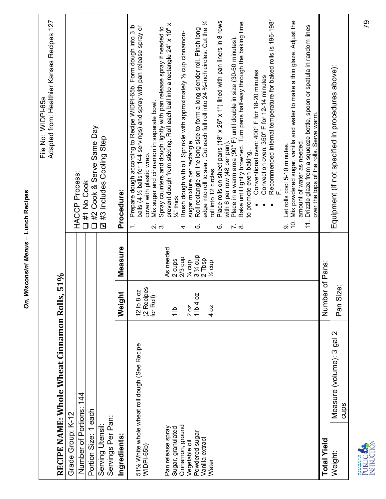| l |
|---|
|   |
| I |
| U |
| Ì |
| í |

| Measure<br>51%<br>Weight<br>RECIPE NAME: Whole Wheat Cinnamon Rolls,<br>Number of Portions: 144<br>Portion Size: 1 each<br>Grade Group: K-12<br>Servings Per Pan:<br>Serving Utensil:<br>Ingredients: | Adapted from: Healthier Kansas Recipes 127<br>WIDPI-65a<br>File No:<br><b>HACCP Process:</b><br>1#1 No Cook                                                                                                                                                                           |
|-------------------------------------------------------------------------------------------------------------------------------------------------------------------------------------------------------|---------------------------------------------------------------------------------------------------------------------------------------------------------------------------------------------------------------------------------------------------------------------------------------|
|                                                                                                                                                                                                       |                                                                                                                                                                                                                                                                                       |
|                                                                                                                                                                                                       |                                                                                                                                                                                                                                                                                       |
|                                                                                                                                                                                                       |                                                                                                                                                                                                                                                                                       |
|                                                                                                                                                                                                       | Cook & Serve Same Day<br>#2<br>$\Box$                                                                                                                                                                                                                                                 |
|                                                                                                                                                                                                       | Ø #3 Includes Cooling Step                                                                                                                                                                                                                                                            |
|                                                                                                                                                                                                       |                                                                                                                                                                                                                                                                                       |
|                                                                                                                                                                                                       | Procedure:                                                                                                                                                                                                                                                                            |
| റ് ന്<br>12 lb 8 oz<br>(2 Recipes<br>for Roll)<br>51% White whole wheat roll dough (See Recipe<br>WIDPI-65b)                                                                                          | Prepare dough according to Recipe WIDPI-65b. Form dough into 3 lb<br>balls (4 1/2 balls for 144 servings) and spray with pan release spray or<br>Mix sugar and cinnamon in separate bowl.<br>cover with plastic wrap.<br>$\overline{\phantom{a}}$                                     |
| As needed<br>2 cups<br>$\frac{a}{l}$<br>Pan release spray<br>Sugar, granulated                                                                                                                        | Spray counters and dough lightly with pan release spray if needed to<br>prevent dough from sticking. Roll each ball into a rectangle 24" x 10" x<br>1/ <sub>4</sub> " thick                                                                                                           |
| 4.<br>ທ່<br>$2/3$ cup<br>$\frac{1}{4}$ cup<br>$20Z$<br>1 lb 4 oz<br>Cinnamon, ground<br>Powdered sugar<br>Vegetable oil                                                                               | Brush dough with oil. Sprinkle with approximately 1/2 cup cinnamon-<br>sugar mixture per rectangle.                                                                                                                                                                                   |
| 3 % cup<br>2 Tbsp<br>% cup<br>4 oz<br>Vanilla extract<br>Water                                                                                                                                        | Roll rectangle on the long side to form a long slender roll. Pinch long<br>edge into roll to seal. Cut each full roll into 24 ¾-inch circles. Cut the ½<br>roll into 12 circles.                                                                                                      |
| .<br>©                                                                                                                                                                                                | Place rolls on sheet pans (18" x 26" x 1") lined with pan liners in 8 rows<br>with 6 per row (48 per pan).                                                                                                                                                                            |
|                                                                                                                                                                                                       | Place in a warm area (90° F) until double in size (30-50 minutes).<br>Bake until lightly browned. Turn pans half-way through the baking time<br>$\sim \infty$                                                                                                                         |
|                                                                                                                                                                                                       | Recommended internal temperature for baked rolls is 196-198°<br>Conventional oven: 400° F for 18-20 minutes<br>Convection oven: 350° F for 12-14 minutes<br>to promote even baking.<br>$\bullet$                                                                                      |
| တ                                                                                                                                                                                                     | Mix powdered sugar, vanilla and water to make a thin glaze. Adjust the<br>Drizzle glaze from a squeeze bottle, spoon or spatula in random lines<br>over the tops of the rolls. Serve warm.<br>amount of water as needed.<br>Let rolls cool 5-10 minutes.<br>$\dot{q}$<br>$\ddot{1}$ . |
| Number of Pans:<br><b>Total Yield</b>                                                                                                                                                                 |                                                                                                                                                                                                                                                                                       |
| Pan Size:<br>Measure (volume): 3 gal 2<br>cups<br>Weight:                                                                                                                                             | Equipment (if not specified in procedures above):                                                                                                                                                                                                                                     |
| <b>INSTRUCTION</b><br>PUBLIC <sup>K</sup>                                                                                                                                                             | 79                                                                                                                                                                                                                                                                                    |